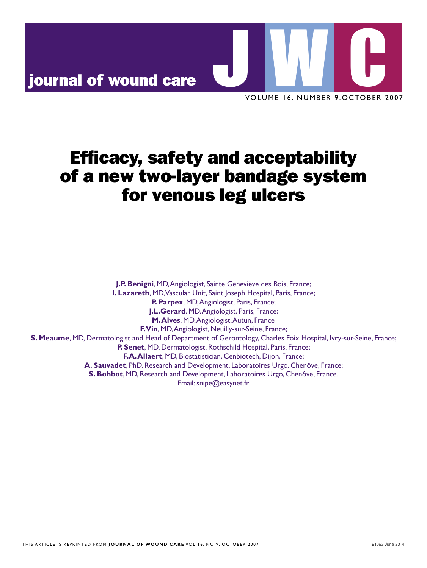# journal of wound care nd care **WARD AND NOTE OF NUM**

VOLUME 16. NUMBER 9.OCTOBER 2007 UMER NUMBER 9 OCTOBER

## Efficacy, safety and acceptability Efficacy, safety and acceptability of a new two-layer bandage system of a new two-layer bandage system for venous leg ulcers for venous leg ulcers

**J.P. Benigni**, MD, Angiologist, Sainte Geneviève des Bois, France; **I. lazareth**, md, vascular Unit, saint Joseph hospital, paris, france; **I. lazareth**, md, vascular Unit, saint Joseph hospital, paris, france; **P. Parpex**, MD, Angiologist, Paris, France; **J.L.Gerard**, MD, Angiologist, Paris, France; **M. Alves**, MD, Angiologist, Autun, France **f. Vin**, MD, Angiologist, Neuilly-sur-Seine, France; S. Meaume, MD, Dermatologist and Head of Department of Gerontology, Charles Foix Hospital, Ivry-sur-Seine, France; **P. Senet**, MD, Dermatologist, Rothschild Hospital, Paris, France; **f.A. Allaert**, MD, Biostatistician, Cenbiotech, Dijon, France; **A. Sauvadet**, PhD, Research and Development, Laboratoires Urgo, Chenôve, France; **S. Bohbot**, md, research and development, laboratoires Urgo, chenôve, france. **S. Bohbot**, md, research and development, laboratoires Urgo, chenôve, france. Email: snipe@easynet.fr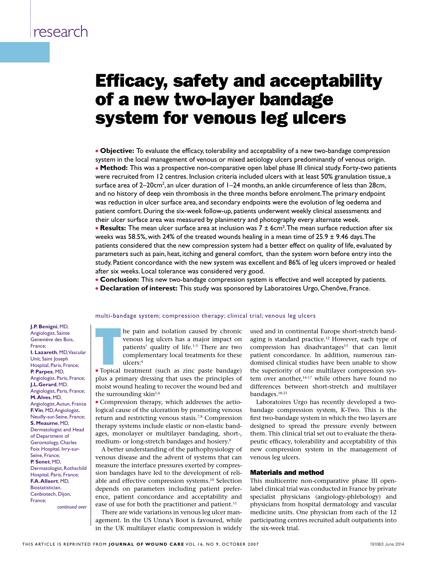## Efficacy, safety and acceptability of a new two-layer bandage system for venous leg ulcers acy, safety and acception

**• Objective:** To evaluate the efficacy, tolerability and acceptability of a new two-bandage compression • Objective: To evaluate the efficacy, tolerability and acceptability of a new two-bandage compressionsystem in the local management of venous or mixed aetiology ulcers predominantly of venous origin.<br>This is the state of **• Method:** This was a prospective non-comparative open label phase III clinical study. Forty-two patients • **Method:** This was a prospective non-comparative open label phase III clinical study. Forty-two patient<br>were recruited from 12 centres. Inclusion criteria included ulcers with at least 50% granulation tissue, a<br>surface surface area of 2–20cm<sup>2</sup>, an ulcer duration of 1–24 months, an ankle circumference of less than 28cm, and no history of deep vein thrombosis in the three months before enrolment. The primary endpoint was reduction in ulcer surface area, and secondary endpoints were the evolution of leg oedema and was reduction in ulcer surface area, and secondary endpoints were the evolution of leg oedema and patient comfort. During the six-week follow-up, patients underwent weekly clinical assessments and their ulcer surface area was measured by planimetry and photography every alternate week. **Results:** The mean ulcer surface area at inclusion was 7 ± 6cm<sup>2</sup>. The mean surface reduction after six

weeks was 58.5%, with 24% of the treated wounds healing in a mean time of 25.9 ± 9.46 days. The patients considered that the new compression system had a better effect on quality of life, evaluated by parameters such as pain, heat, itching and general comfort, than the system worn before entry into the study. patient concordance with the new system was excellent and 86% of leg ulcers improved or healed after six weeks. local tolerance was considered very good.

**Conclusion:** This new two-bandage compression system is effective and well accepted by patients.

**Declaration of interest:** This study was sponsored by Laboratoires Urgo, Chenôve, France, **Property anglic Conflict I. Lazareth, margin Unit, saint Joseph Hospital, participal, participal, participal, participal, participal, participal, participal, participal, participal, participal, participal, participal, participal, participal, part** 

> multi-bandage system; compression therapy; clinical trial; venous leg ulcers mater bandage system, compression

**J.P. Benigni**, MD, Angiologist, Sainte Geneviève des Bois, france; **I. Lazareth**, MD, Vascular Unit, Saint Joseph **P. Parpex**, MD, Angiologist, Paris, France; **J.L.Gerard, MD.** Angiologist, Paris, France; **M. alves**, md, Angiologist, Autun, France **f. Vin**, MD, Angiologist, Neuilly-sur-Seine, France; **S. Meaume, MD,** Dermatologist and Head of Department of Gerontology, charles Foix Hospital, Ivry-sur-Seine, France; **P. Senet, MD,** Dermatologist, Rothschild Hospital, Paris, France; **f.A. Allaert**, MD, **Biostatistician** Cenbiotech, Dijon, france;

*continued over*

**a.** Hospital, Paris, France; **a. Sauvade and development, research and development, laboratoires Urgo, chemove, france; development, and development, and development, in the chemove, france; in the chemove, france; in the** In the pain and isolation caused by chronic<br>
venous leg ulcers has a major impact on<br>
patients' quality of life.<sup>1-3</sup> There are two<br>
complementary local treatments for these<br>
ulcers:<sup>4</sup><br>
• Topical treatment (such as zinc p  $\frac{h}{r}$  **finally-surfanging hermic isolation** caused by chronic **S. Meanwere, Concernsive License** of the Concernsive of Gerontology, and the Geneviève des Bois, **P. Seneticial, metallicial, metallicial, metallicial, rothschild hospital, rothschild hospital, rothschild hospital, rothschild hospital, rothschild hospital, rothschild hospital, rothschild hospital, rothschild hospital, ECN**, MU, Vascular complementary local treatments for these complementary local treatments for these ulcers:4

**P. Parpex**, MD, **Primary and development** (Such as zinc paste bandage) the standard measurement (Such as zinc paste bandage) the standard measure,  $\frac{1}{2}$  plus a primary dressing that uses the principles of tem only and plas a primary dressing that dises the principles of moist wound healing to recover the wound bed and the surrounding skin $5,6$ 

> <sup>l</sup> Compression therapy, which addresses the aetiological cause of the ulceration by promoting venous return and restricting venous stasis.7,8 Compression therapy systems include elastic or non-elastic bandages, monolayer or multilayer bandaging, short-, medium- or long-stretch bandages and hosiery.<sup>9</sup>

> A better understanding of the pathophysiology of venous disease and the advent of systems that can measure the interface pressures exerted by compression bandages have led to the development of reliable and effective compression systems.10 Selection depends on parameters including patient preference, patient concordance and acceptability and ease of use for both the practitioner and patient.<sup>11</sup>

> There are wide variations in venous leg ulcer management. In the US Unna's Boot is favoured, while in the UK multilayer elastic compression is widely

used and in continental Europe short-stretch bandaging is standard practice.12 However, each type of compression has disadvantages $13$  that can limit patient concordance. In addition, numerous randomised clinical studies have been unable to show the superiority of one multilayer compression system over another, $14-17$  while others have found no differences between short-stretch and multilayer bandages.18-21

Laboratoires Urgo has recently developed a twobandage compression system, K-Two. This is the first two-bandage system in which the two layers are designed to spread the pressure evenly between them. This clinical trial set out to evaluate the therapeutic efficacy, tolerability and acceptability of this new compression system in the management of venous leg ulcers.

#### Materials and method

This multicentre non-comparative phase III openlabel clinical trial was conducted in France by private specialist physicians (angiology-phlebology) and physicians from hospital dermatology and vascular medicine units. One physician from each of the 12 participating centres recruited adult outpatients into the six-week trial.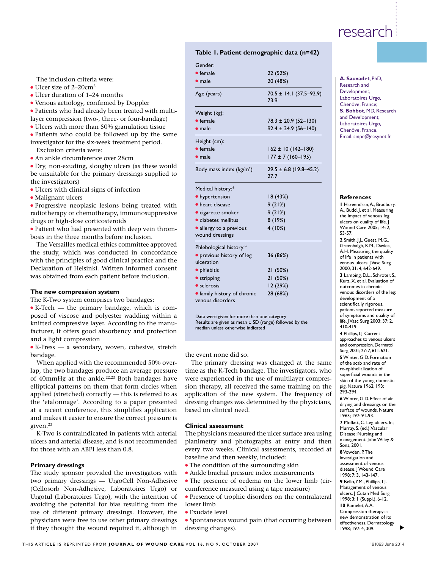#### **Table 1. Patient demographic data (n=42)**

## The inclusion criteria were:<br>• Ulcer size of  $2-20$ cm<sup>2</sup>

- $\bullet$  Ulcer size of 2–20cm<sup>2</sup>
- Ulcer duration of 1–24 months
- <sup>l</sup> Venous aetiology, confirmed by Doppler
- Patients who had already been treated with multi-
- layer compression (two-, three- or four-bandage)
- $\bullet$  Ulcers with more than 50% granulation tissue
- $\bullet$  Patients who could be followed up by the same investigator for the six-week treatment period.

- An ankle circumference over 28cm
- be unsuitable for the primary dressings supplied to be unsuitable for the primary dressings supplied to  $\frac{1}{27.7}$ the investigators)
	-
	- · Malignant ulcers
	- Progressive neoplasic lesions being treated with radiotherapy or chemotherapy, immunosuppressive drugs or high-dose corticosteroids
	- Patient who had presented with deep vein thrombosis in the three months before inclusion.

#### **The new compression system I.e. 1998 Comparison System Comparison System Comparison**

 $\bullet$  K-Tech — the primary bandage, which is com-• K-Tech — the primary bandage, which is com-<br>posed of viscose and polyester wadding within a knitted compressive layer. According to the manufacturer, it offers good absorbency and protection median u **S. Meaumer, meanwhile and head of department of department of department of department of department of department of Gerontology, charles for department of Gerontology, charles for department of Gerontology, charles for** 

> **K-Press — a secondary, woven, cohesive, stretch** bandage. the event none did so.

When applied with the recommended 50% over-<br>**a. Sault and the comment and development**, laboratoires Urgo, chemove, france; france; france; france; france; f lap, the two bandages produce an average pressure ap, the two bandages produce an average pressure time as the K-Tech bandage.<br>of 40mmHg at the ankle.<sup>22,23</sup> Both bandages have twere experienced in the use elliptical patterns on them that form circles when applied (stretched) correctly — this is referred to as the 'etalonnage'. According to a paper presented at a recent conference, this simplifies application and makes it easier to ensure the correct pressure is given.<sup>23</sup>

K-Two is contraindicated in patients with arterial ulcers and arterial disease, and is not recommended for those with an ABPI less than 0.8.

#### **Primary dressings**

The study sponsor provided the investigators with two primary dressings — UrgoCell Non-Adhesive (Cellosorb Non-Adhesive, Laboratoires Urgo) or Urgotul (Laboratoires Urgo), with the intention of avoiding the potential for bias resulting from the use of different primary dressings. However, the physicians were free to use other primary dressings if they thought the wound required it, although in

|                                                       | Table 1. Patient demographic data (n=42) |                               |
|-------------------------------------------------------|------------------------------------------|-------------------------------|
|                                                       | Gender:                                  |                               |
|                                                       | $\bullet$ female                         | 22 (52%)                      |
| The inclusion criteria were:                          | $\bullet$ male                           | 20 (48%)                      |
| • Ulcer size of $2-20$ cm <sup>2</sup>                | Age (years)                              | $70.5 \pm 14.1 (37.5 - 92.9)$ |
| • Ulcer duration of 1-24 months                       |                                          | 73.9                          |
| • Venous aetiology, confirmed by Doppler              |                                          |                               |
| • Patients who had already been treated with multi-   | Weight (kg):                             |                               |
| layer compression (two-, three- or four-bandage)      | $\bullet$ female                         | $78.3 \pm 20.9$ (52-130)      |
| • Ulcers with more than 50% granulation tissue        | $\bullet$ male                           | $92.4 \pm 24.9$ (56-140)      |
| • Patients who could be followed up by the same       |                                          |                               |
| investigator for the six-week treatment period.       | Height (cm):                             |                               |
| Exclusion criteria were:                              | $\bullet$ female                         | $162 \pm 10$ (142-180)        |
| • An ankle circumference over 28cm                    | $\bullet$ male                           | $177 \pm 7 (160 - 195)$       |
| • Dry, non-exuding, sloughy ulcers (as these would    | Body mass index (kg/m <sup>2</sup> )     | $29.5 \pm 6.8$ (19.8-45.2)    |
| be unsuitable for the primary dressings supplied to   |                                          | 27.7                          |
| the investigators)                                    |                                          |                               |
| · Ulcers with clinical signs of infection             | Medical history:*                        |                               |
| · Malignant ulcers                                    | • hypertension                           | 18(43%)                       |
| • Progressive neoplasic lesions being treated with    | • heart disease                          | 9(21%)                        |
| radiotherapy or chemotherapy, immunosuppressive       | · cigarette smoker                       | 9(21%)                        |
| drugs or high-dose corticosteroids                    | · diabetes mellitus                      | 8(19%)                        |
| • Patient who had presented with deep vein throm-     | · allergy to a previous                  | 4(10%)                        |
| bosis in the three months before inclusion.           | wound dressings                          |                               |
| The Versailles medical ethics committee approved      | Phlebological history:*                  |                               |
| the study, which was conducted in concordance         | · previous history of leg                | 36 (86%)                      |
| with the principles of good clinical practice and the | ulceration                               |                               |
| Declaration of Helsinki. Written informed consent     | · phlebitis                              | 21 (50%)                      |
| was obtained from each patient before inclusion.      | • stripping                              | 21(50%)                       |
|                                                       | • sclerosis                              | 12 (29%)                      |
| The new compression system                            | • family history of chronic              | 28 (68%)                      |
| The K-Two system comprises two bandages:              | venous disorders                         |                               |
| $\bullet$ K-Tech — the primary bandage, which is com- |                                          |                               |
|                                                       |                                          |                               |

Data were given for more than one category Results are given as mean  $\pm$  SD (range) followed by the median unless otherwise indicated

The primary dressing was changed at the same time as the K-Tech bandage. The investigators, who were experienced in the use of multilayer compression therapy, all received the same training on the application of the new system. The frequency of dressing changes was determined by the physicians, based on clinical need.

#### **clinical assessment**

The physicians measured the ulcer surface area using planimetry and photographs at entry and then every two weeks. Clinical assessments, recorded at baseline and then weekly, included:

- $\bullet$  The condition of the surrounding skin
- Ankle brachal pressure index measurements
- The presence of oedema on the lower limb (circumference measured using a tape measure)
- Presence of trophic disorders on the contralateral lower limb
- Exudate level

<sup>l</sup> Spontaneous wound pain (that occurring between dressing changes).

#### **A. Sauvadet, PhD.** Research and Development. laboratoires Urgo, chenôve, france; **S. Bohbot**, MD, Research and Development, laboratoires Urgo, chenôve, france. Email: snipe@easynet.fr

#### **references**

**1** Hareendran, A., Bradbury, A., Budd, J. et al. Measuring the impact of venous leg ulcers on quality of life. J Wound care 2005; 14: 2, 53-57. **2** smith, J.J., Guest, m.G., Greenhalgh, R.M., Davies A.H. Measuring the quality of life in patients with venous ulcers. J Vasc Surg 2000; 31: 4, 642-649. **3** Lamping, D.L., Schroter. S.,  $K<sub>U</sub>$  X. et al. Evaluation of outcomes in chronic venous disorders of the leg: development of a scientifically rigorous, patient-reported measure of symptoms and quality of life. J vasc surg 2003; 37: 2, 410-419. **4** phillips, T.J. current approaches to venous ulcers and compression. Dermatol surg 2001; 27: 7, 611-621. **5** Winter, G.D. Formation of the scab and rate of re-epithelialization of superficial wounds in the skin of the young domestic pig. Nature 1962; 193: 293-294. **6** Winter, G.D. Effect of air drying and dressings on the surface of wounds. Nature

1963; 197: 91-93. **7** Moffatt, C. Leg ulcers. In; Murray, S. (ed.). Vascular Disease: Nursing and management. John Wiley & sons, 2001. **8** Vowden, P. The investigation and assessment of venous disease. I Wound Care 1998; 7: 3, 143-147. **9** Bello, Y.m., phillips, T.J. Management of venous ulcers. J Cutan Med Surg 1998; 3: 1 (suppl.), 6-12. **10** Ramelet, A.A. compression therapy: a new demonstration of its effectiveness. Dermatology

1998; 197: 4, 309.

s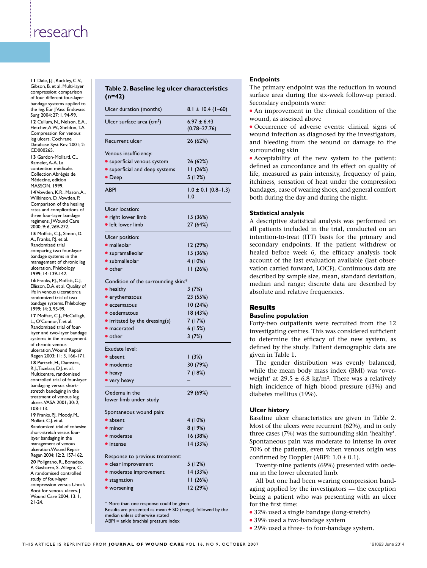**11** Dale, J.J., Ruckley, C.V.,<br>Gibson, B. et al. Multi-layer **Tablo** Gibson, B. et al. multi-layer compression: comparison of four different four-layer bandage systems applied to the leg. Eur J Vasc Endovasc surg 2004; 27: 1, 94-99. 12 Cullum, N., Nelson, E.A., fletcher, a.W., sheldon, T.a. compression for venous leg ulcers. Cochrane Database Syst Rev. 2001: 2: CD000265 13 Gardon-Mollard, C., Ramelet, A-A. La contention médicale. collection abrégés de Médecine, edition masson, 1999. 14 Vowden, K.R., Mason, A. Wilkinson, D., Vowden, P. comparison of the healing rates and complications of three four-layer bandage regimens. J Wound Care 2000; 9: 6, 269-272.

## **Table 2. Baseline leg ulcer characteristics (n=42)** Endpoints<br>
eline leg ulcer characteristics<br>
The primary endpoint<br>
surface area during th

| compression.companson<br>of four different four-layer                                  | $(n=42)$                               |                                     | surface area durii                       |
|----------------------------------------------------------------------------------------|----------------------------------------|-------------------------------------|------------------------------------------|
| bandage systems applied to<br>the leg. Eur J Vasc Endovasc<br>Surg 2004; 27: 1, 94-99. | Ulcer duration (months)                | $8.1 \pm 10.4$ (1-60)               | Secondary endpo<br>• An improvemer       |
| 12 Cullum, N., Nelson, E.A.,<br>Fletcher, A.W., Sheldon, T.A.                          | Ulcer surface area (cm <sup>2</sup> )  | $6.97 \pm 6.43$<br>$(0.78 - 27.76)$ | wound, as assesse<br>• Occurrence of     |
| Compression for venous<br>leg ulcers. Cochrane<br>Database Syst Rev. 2001; 2:          | Recurrent ulcer                        | 26 (62%)                            | wound infection<br>and bleeding fro      |
| CD000265.                                                                              | Venous insufficiency:                  |                                     | surrounding skin                         |
| 13 Gardon-Mollard, C.,<br>Ramelet, A-A. La                                             | • superficial venous system            | 26 (62%)                            | • Acceptability of                       |
| contention médicale.                                                                   | • superficial and deep systems         | 11(26%)                             | defined as concor                        |
| Collection Abrégés de<br>Médecine, edition<br><b>MASSON, 1999.</b>                     | $\bullet$ Deep                         | 5(12%)                              | life, measured as<br>itchiness, sensatio |
| 14 Vowden, K.R., Mason, A.,<br>Wilkinson, D., Vowden, P.                               | <b>ABPI</b>                            | $1.0 \pm 0.1$ (0.8–1.3)<br>1.0      | bandages, ease of<br>both during the d   |
| Comparison of the healing<br>rates and complications of                                | Ulcer location:                        |                                     |                                          |
| three four-layer bandage                                                               | • right lower limb                     | 15(36%)                             | <b>Statistical analys</b>                |
| regimens. J Wound Care<br>2000; 9: 6, 269-272.                                         | • left lower limb                      | 27 (64%)                            | A descriptive stat                       |
| 15 Moffatt, C.J., Simon, D.                                                            |                                        |                                     | all patients inclu                       |
| A., Franks, P.J. et al.                                                                | Ulcer position:                        |                                     | intention-to-treat                       |
| Randomized trial<br>comparing two four-layer                                           | · malleolar                            | 12(29%)                             | secondary endpc                          |
| bandage systems in the                                                                 | • supramalleolar                       | 15(36%)                             | healed before we                         |
| management of chronic leg                                                              | • submalleolar                         | 4(10%)                              | account of the la                        |
| ulceration. Phlebology<br>1999; 14: 139-142.                                           | $\bullet$ other                        | 11(26%)                             | vation carried for                       |
| <b>16</b> Franks, P.J., Moffatt, C.J.,                                                 | Condition of the surrounding skin:*    |                                     | described by sam                         |
| Ellisson, D.A. et al. Quality of<br>life in venous ulceration: a                       | $\bullet$ healthy                      | 3(7%)                               | median and rang                          |
| randomized trial of two                                                                | • erythematous                         | 23 (55%)                            | absolute and relat                       |
| bandage systems. Phlebology                                                            | • eczematous                           | 10(24%)                             | <b>Results</b>                           |
| 1999; 14: 3, 95-99.                                                                    | • oedematous                           | 18(43%)                             | <b>Baseline populat</b>                  |
| 17 Moffatt, C.J., McCullagh,<br>L., O'Connor, T. et al.                                | $\bullet$ irritated by the dressing(s) | 7(17%)                              |                                          |
| Randomized trial of four-                                                              | • macerated                            | 6(15%)                              | Forty-two outpat                         |
| layer and two-layer bandage<br>systems in the management                               | $\bullet$ other                        | 3(7%)                               | investigating cen-<br>to determine the   |
| of chronic venous<br>ulceration. Wound Repair                                          | Exudate level:                         |                                     | defined by the st                        |
| Regen 2003; II: 3, 166-171.                                                            | • absent                               | (3%)                                | given in Table 1.                        |
| 18 Partsch, H., Damstra,<br>R.J., Tazelaar, D.J. et al.                                | • moderate                             | 30 (79%)                            | The gender di                            |
| Multicentre, randomised                                                                | • heavy                                | 7 (18%)                             | while the mean 1                         |
| controlled trial of four-layer                                                         | • very heavy                           |                                     | weight' at 29.5 $\pm$                    |
| bandaging versus short-<br>stretch bandaging in the                                    | Oedema in the                          | 29 (69%)                            | high incidence o                         |
| treatment of venous leg<br>ulcers.VASA 2001; 30: 2,                                    | lower limb under study                 |                                     | diabetes mellitus                        |
| $108 - 113.$<br>19 Franks, P.J., Moody, M.,                                            | Spontaneous wound pain:                |                                     | <b>Ulcer history</b>                     |
| Moffatt, C.J. et al.                                                                   | • absent                               | 4(10%)                              | Baseline ulcer ch                        |
| Randomized trial of cohesive                                                           | $\bullet$ minor                        | 8(19%)                              | Most of the ulcers                       |
| short-stretch versus four-<br>layer bandaging in the                                   | · moderate                             | 16 (38%)                            | three cases (7%) v                       |
| management of venous                                                                   | • intense                              | 14 (33%)                            | Spontaneous pair                         |
| ulceration. Wound Repair<br>Regen 2004; 12: 2, 157-162.                                |                                        |                                     | 70% of the patier                        |
| 20 Polignano, R., Bonadeo,                                                             | Response to previous treatment:        |                                     | confirmed by Dop                         |
| P., Gasbarro, S., Allegra, C.                                                          | • clear improvement                    | 5 (12%)                             | Twenty-nine pa                           |
| A randomised controlled<br>study of four-layer                                         | • moderate improvement                 | 14(33%)                             | ma in the lower u                        |
| compression versus Unna's                                                              | • stagnation                           | 11(26%)                             | All but one had                          |
| Boot for venous ulcers.<br>Wound Care 2004; 13: 1,                                     | • worsening                            | 12 (29%)                            | aging applied by<br>being a patient v    |

\* more than one response could be given Results are presented as mean  $\pm$  SD (range), followed by the median unless otherwise stated ABPI = ankle brachial pressure index

#### **endpoints**

The primary endpoint was the reduction in wound surface area during the six-week follow-up period. Secondary endpoints were: gurface area during the six-<br>Secondary endpoints were:<br>**8.** l ± 10.4 (1–60) • An improvement in the c

 $\bullet$  An improvement in the clinical condition of the wound, as assessed above

<sup>l</sup> Occurrence of adverse events: clinical signs of wound infection as diagnosed by the investigators, and bleeding from the wound or damage to the surrounding skin

• Acceptability of the new system to the patient: defined as concordance and its effect on quality of life, measured as pain intensity, frequency of pain, itchiness, sensation of heat under the compression bandages, ease of wearing shoes, and general comfort both during the day and during the night.

#### **Statistical analysis**

A descriptive statistical analysis was performed on all patients included in the trial, conducted on an intention-to-treat (ITT) basis for the primary and secondary endpoints. If the patient withdrew or healed before week 6, the efficacy analysis took account of the last evaluation available (last observation carried forward, LOCF). Continuous data are described by sample size, mean, standard deviation, median and range; discrete data are described by absolute and relative frequencies.

#### Results

#### **Baseline population**

Forty-two outpatients were recruited from the 12 investigating centres. This was considered sufficient systems in the management **o** other **S.** M. Mean of  $\frac{3(7%)}{(7%)}$  to determine the efficacy of the new system, as defined by the study. Patient demographic data are given in Table 1.

The gender distribution was evenly balanced, while the mean body mass index (BMI) was 'overweight' at 29.5  $\pm$  6.8 kg/m<sup>2</sup>. There was a relatively high incidence of high blood pressure (43%) and diabetes mellitus (19%).

#### **ulcer history**

Baseline ulcer characteristics are given in Table 2. Most of the ulcers were recurrent (62%), and in only three cases (7%) was the surrounding skin 'healthy'. Spontaneous pain was moderate to intense in over 70% of the patients, even when venous origin was confirmed by Doppler (ABPI:  $1.0 \pm 0.1$ ).

Twenty-nine patients (69%) presented with oedema in the lower ulcerated limb.

All but one had been wearing compression bandaging applied by the investigators — the exception being a patient who was presenting with an ulcer for the first time:

- 32% used a single bandage (long-stretch)
- 39% used a two-bandage system
- 29% used a three- to four-bandage system.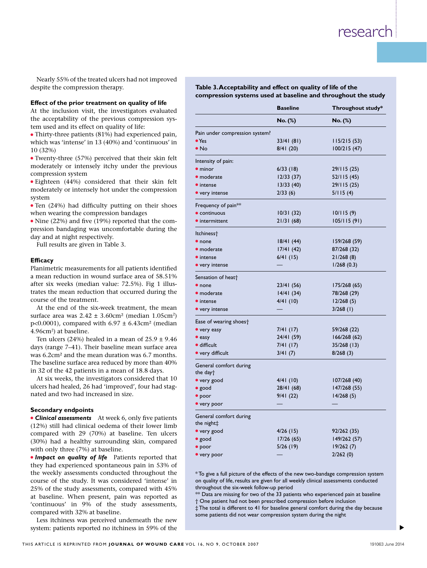Nearly 55% of the treated ulcers had not improved<br>despite the compression therapy. despite the compression therapy.

#### **effect of the prior treatment on quality of life**

#### **efficacy**

#### **Secondary endpoints**

**Impact on quality of life** Patients reported that they had experienced spontaneous pain in 53% of the weekly assessments conducted throughout the course of the study. It was considered 'intense' in 25% of the study assessments, compared with 45% at baseline. When present, pain was reported as 'continuous' in 9% of the study assessments, compared with 32% at baseline.

Less itchiness was perceived underneath the new system: patients reported no itchiness in 59% of the

# Table 3. Acceptability and effect on quality of life of the not improved<br>Table 3. Acceptability and effect on quali<br>compression systems used at baseline and

|                                                                                                    |                                |                 | compression systems used at baseline and throughout the study |
|----------------------------------------------------------------------------------------------------|--------------------------------|-----------------|---------------------------------------------------------------|
| Effect of the prior treatment on quality of life                                                   |                                | <b>Baseline</b> | Throughout study*                                             |
| At the inclusion visit, the investigators evaluated                                                |                                |                 |                                                               |
| the acceptability of the previous compression sys-                                                 |                                | No. (%)         | $No.$ (%)                                                     |
| tem used and its effect on quality of life:<br>• Thirty-three patients (81%) had experienced pain, | Pain under compression system? |                 |                                                               |
| which was 'intense' in 13 (40%) and 'continuous' in                                                | $\bullet$ Yes                  | 33/41(81)       | 115/215(53)                                                   |
| 10(32%)                                                                                            | $\bullet$ No                   | 8/41(20)        | 100/215(47)                                                   |
| • Twenty-three (57%) perceived that their skin felt                                                |                                |                 |                                                               |
| moderately or intensely itchy under the previous                                                   | Intensity of pain:             |                 |                                                               |
| compression system                                                                                 | $\bullet$ minor                | 6/33(18)        | 29/115 (25)                                                   |
| · Eighteen (44%) considered that their skin felt                                                   | · moderate                     | 12/33(37)       | 52/115(45)                                                    |
| moderately or intensely hot under the compression                                                  | $\bullet$ intense              | 13/33(40)       | 29/115(25)                                                    |
| system                                                                                             | • very intense                 | 2/33(6)         | 5/115(4)                                                      |
| • Ten (24%) had difficulty putting on their shoes                                                  | Frequency of pain**            |                 |                                                               |
| when wearing the compression bandages                                                              | $\bullet$ continuous           | 10/31(32)       | 10/115(9)                                                     |
| • Nine (22%) and five (19%) reported that the com-                                                 | • intermittent                 | 21/31(68)       | 105/115(91)                                                   |
| pression bandaging was uncomfortable during the                                                    |                                |                 |                                                               |
| day and at night respectively.                                                                     | ltchiness <sup>+</sup>         |                 |                                                               |
| Full results are given in Table 3.                                                                 | $\bullet$ none                 | 18/41(44)       | 159/268 (59)                                                  |
|                                                                                                    | • moderate                     | 17/41(42)       | 87/268 (32)                                                   |
| <b>Efficacy</b>                                                                                    | • intense                      | 6/41(15)        | 21/268(8)                                                     |
| Planimetric measurements for all patients identified                                               | • very intense                 |                 | 1/268(0.3)                                                    |
| a mean reduction in wound surface area of 58.51%                                                   | Sensation of heat <sup>+</sup> |                 |                                                               |
| after six weeks (median value: 72.5%). Fig 1 illus-                                                | $\bullet$ none                 | 23/41(56)       | 175/268 (65)                                                  |
| trates the mean reduction that occurred during the                                                 | · moderate                     | 14/41(34)       | 78/268 (29)                                                   |
| course of the treatment.                                                                           | $\bullet$ intense              | 4/41(10)        | 12/268(5)                                                     |
| At the end of the six-week treatment, the mean                                                     | • very intense                 |                 | $3/268$ (1)                                                   |
| surface area was $2.42 \pm 3.60$ cm <sup>2</sup> (median 1.05cm <sup>2</sup> )                     |                                |                 |                                                               |
| p<0.0001), compared with $6.97 \pm 6.43$ cm <sup>2</sup> (median                                   | Ease of wearing shoes†         |                 |                                                               |
| 4.96cm <sup>2</sup> ) at baseline.                                                                 | • very easy                    | 7/41(17)        | 59/268 (22)                                                   |
| Ten ulcers (24%) healed in a mean of $25.9 \pm 9.46$                                               | $\bullet$ easy                 | 24/41 (59)      | 166/268(62)                                                   |
| days (range 7-41). Their baseline mean surface area                                                | · difficult                    | 7/41(17)        | $35/268$ (13)                                                 |
| was 6.2cm <sup>2</sup> and the mean duration was 6.7 months.                                       | • very difficult               | 3/41(7)         | 8/268(3)                                                      |
| The baseline surface area reduced by more than 40%                                                 | General comfort during         |                 |                                                               |
| in 32 of the 42 patients in a mean of 18.8 days.                                                   | the day†                       |                 |                                                               |
| At six weeks, the investigators considered that 10                                                 | • very good                    | 4/41(10)        | 107/268 (40)                                                  |
| ulcers had healed, 26 had 'improved', four had stag-                                               | · good                         | 28/41(68)       | 147/268 (55)                                                  |
| nated and two had increased in size.                                                               | $\bullet$ poor                 | 9/41(22)        | 14/268(5)                                                     |
|                                                                                                    | • very poor                    |                 |                                                               |
| <b>Secondary endpoints</b>                                                                         |                                |                 |                                                               |
| • Clinical assessments At week 6, only five patients                                               | General comfort during         |                 |                                                               |
| (12%) still had clinical oedema of their lower limb                                                | the night‡                     |                 |                                                               |
| compared with 29 (70%) at baseline. Ten ulcers                                                     | • very good                    | $4/26$ (15)     | 92/262(35)                                                    |
| (30%) had a healthy surrounding skin, compared                                                     | • good<br>$\bullet$ poor       | 17/26(65)       | 149/262 (57)                                                  |
| with only three (7%) at baseline.                                                                  |                                | 5/26(19)        | 19/262(7)                                                     |
| <b>Impact on quality of life</b> Patients reported that                                            | • very poor                    |                 | 2/262(0)                                                      |

\* To give a full picture of the effects of the new two-bandage compression system on quality of life, results are given for all weekly clinical assessments conducted throughout the six-week follow-up period

Data are missing for two of the 33 patients who experienced pain at baseline † one patient had not been prescribed compression before inclusion

‡ The total is different to 41 for baseline general comfort during the day because some patients did not wear compression system during the night

s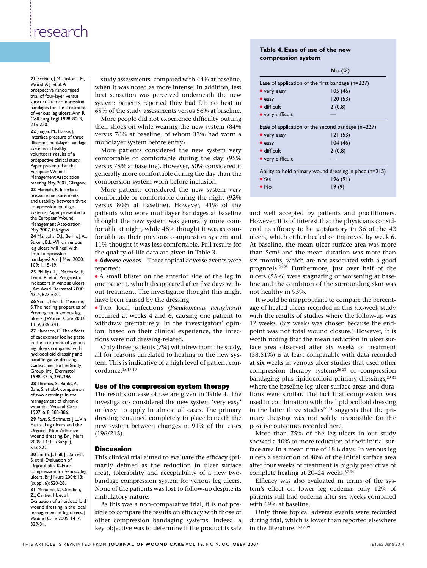**21** Scriven, J.M., Taylor, L.E., study as<br>Wood, A.J. et al. A when it w Wood, A.J. et al. A prospective randomised trial of four-layer versus short stretch compression bandages for the treatment of venous leg ulcers. Ann R coll surg engl 1998; 80: 3, 215-220.

> **22** Junger, m., haase, J. Interface pressure of three different multi-layer bandage systems in healthy volunteers: results of a prospective clinical study. Paper presented at the European Wound Management Association meeting May 2007, Glasgow. 23 Hannah, R. Interface pressure measurements and usability between three compression bandage systems. Paper presented a the European Wound Management Association May 2007, Glasgow.

**24** Margolis, D.J., Berlin, J.A., strom, B.l. Which venous leg ulcers will heal with limb compression bandages? Am J Med 2000; 109: 1, 15-19.

25 Phillips, T.J., Machado, F., Trout, R. et al. Prognostic indicators in venous ulcers. J Am Acad Dermatol 2000; 43: 4, 627-630.

26 Vin, F., Téot, L, Meaume, s. The healing properties of Promogran in venous leg ulcers. J Wound care 2002; 11: 9, 335-341.

27 Hansson, C. The effects of cadexomer iodine paste in the treatment of venous leg ulcers compared with hydrocolloid dressing and paraffin gauze dressing. Cadexomer Iodine Study Group. Int J Dermatol Stroup. Int J Dermatoi **Stroup. Intervention**<br>1998; 37: 5, 390-396. Strong and development, laboratoires Urgo, france.<br>1998; 37: 5, 390-396. **28** Thomas, S., Banks, V., Bale, S. et al. A comparison of two dressings in the management of chronic wounds. J Wound Care 1997; 6: 8, 383-386. **29** fays, s., schmutz, J.l., vin f. et al. leg ulcers and the Urgocell Non-Adhesive wound dressing. Br J Nurs 2005; 14: 11 (suppl.), s15-s22. **30** smith, J., hill, J., Barrett, S. et al. Evaluation of Urgotul plus K-four compression for venous leg ulcers. Br | Nurs 2004; 13: (suppl. 6): s20-28. **31** Meaume, S., Ourabah, Z., cartier, h. et al. Evaluation of a lipidocolloid wound dressing in the local management of leg ulcers. J Wound care 2005; 14: 7, 329-34.

study assessments, compared with 44% at baseline, when it was noted as more intense. In addition, less heat sensation was perceived underneath the new system: patients reported they had felt no heat in 65% of the study assessments versus 56% at baseline. Table 4. Ease of us<br>
compression syste<br>
ents, compared with 44% at baseline,<br>
red as more intense. In addition, less<br>
was perceived underneath the new

More people did not experience difficulty putting their shoes on while wearing the new system (84% versus 76% at baseline, of whom 33% had worn a monolayer system before entry).

More patients considered the new system very Systems in Reality<br>
volunteers: results of a<br>
prospective clinical study.<br>
Paper presented at the versus 78% at baseline) However 50% considered it versus 78% at baseline). However, 50% considered it European Wound<br>
Management Association<br>
meeting May 2007, Glasgow. Compression system worn before inclusion. compression system worn before inclusion.

More patients considered the new system very ah, R. Interface More patients considered the new system very<br>
measurements<br>
lity between three comportable or comfortable during the night (92% versus 80% at baseline). However, 41% of the patients who wore multilayer bandages at baseline thought the new system was generally more comfortable at night, while 48% thought it was as comfortable as their previous compression system and 11% thought it was less comfortable. Full results for the quality-of-life data are given in Table 3.

> **Adverse events** Three topical adverse events were reported:

• A small blister on the anterior side of the leg in tors in venous ulcers. | one patient, which disappeared after five days with-**Incar Bermator 2000,** out treatment. The investigator thought this might  $\mathbf{h}, \mathbf{627\text{-}630}$ . have been caused by the dressing

<sup>l</sup> Two local infections (*Pseudomonas aeruginosa*)  $\begin{bmatrix} 1 & 1 & 1 \\ 0 & 0 & 1 \end{bmatrix}$  occurred at weeks 4 and 6, causing one patient to oo<sub>2</sub>; exercise at weeks 1 and 0, causing one patient to withdraw prematurely. In the investigators' opine effects ion, based on their clinical experience, the infecof cadexomer iodine paste in tions were not dressing-related.

> **PERIMENT ONLY SETTLE CONCOCOGO EXAMPLE 19 ATTLE STANDER** compared with **Property** Only three patients (7%) withdrew from the study, pid dressing and **all for reasons unrelated to healing or the new sys-**<br>all a dressing paramin gauze di essing.<br>Cadexomer lodine Study tem. This is indicative of a high level of patient con- at six v cordance.<sup>15,17-19</sup>

#### Use of the compression system therapy

The results on ease of use are given in Table 4. The investigators considered the new system 'very easy' or 'easy' to apply in almost all cases. The primary dressing remained completely in place beneath the new system between changes in 91% of the cases (196/215).

#### **Discussion**

This clinical trial aimed to evaluate the efficacy (primarily defined as the reduction in ulcer surface area), tolerability and acceptability of a new twobandage compression system for venous leg ulcers. None of the patients was lost to follow-up despite its ambulatory nature.

As this was a non-comparative trial, it is not possible to compare the results on efficacy with those of other compression bandaging systems. Indeed, a key objective was to determine if the product is safe

#### **Table 4. ease of use of the new compression system**

|                                                          |                                                         | $No.$ (%)                                        |  |
|----------------------------------------------------------|---------------------------------------------------------|--------------------------------------------------|--|
| red with 44% at baseline.                                |                                                         | Ease of application of the first bandage (n=227) |  |
| intense. In addition, less                               | • very easy                                             | 105(46)                                          |  |
| ed underneath the new                                    | $\bullet$ easy                                          | 120(53)                                          |  |
| hey had felt no heat in                                  | · difficult                                             | 2(0.8)                                           |  |
| ts versus 56% at baseline.<br>erience difficulty putting | • very difficult                                        |                                                  |  |
| ng the new system (84%                                   | Ease of application of the second bandage $(n=227)$     |                                                  |  |
| whom 33% had worn a                                      | • very easy                                             | 121(53)                                          |  |
| ntry).                                                   | $\bullet$ easy                                          | 104(46)                                          |  |
| d the new system very                                    | · difficult                                             | 2(0.8)                                           |  |
| e during the day (95%                                    | • very difficult                                        |                                                  |  |
| wever, 50% considered it<br>during the day than the      | Ability to hold primary wound dressing in place (n=215) |                                                  |  |
| before inclusion.                                        | $\bullet$ Yes                                           | 196(91)                                          |  |
| d the new system very                                    | $\bullet$ No                                            | 19(9)                                            |  |

and well accepted by patients and practitioners. However, it is of interest that the physicians considered its efficacy to be satisfactory in 36 of the 42 ulcers, which either healed or improved by week 6. At baseline, the mean ulcer surface area was more than 5cm2 and the mean duration was more than six months, which are not associated with a good prognosis.24,25 Furthermore, just over half of the ulcers (55%) were stagnating or worsening at baseline and the condition of the surrounding skin was not healthy in 93%.

It would be inappropriate to compare the percentage of healed ulcers recorded in this six-week study with the results of studies where the follow-up was 12 weeks. (Six weeks was chosen because the endpoint was not total wound closure.) However, it is worth noting that the mean reduction in ulcer surface area observed after six weeks of treatment (58.51%) is at least comparable with data recorded at six weeks in venous ulcer studies that used other compression therapy systems<sup>26-28</sup> or compression bandaging plus lipidocolloid primary dressings, $29-31$ where the baseline leg ulcer surface areas and durations were similar. The fact that compression was used in combination with the lipidocolloid dressing in the latter three studies $29-31$  suggests that the primary dressing was not solely responsible for the positive outcomes recorded here.

More than 75% of the leg ulcers in our study showed a 40% or more reduction of their initial surface area in a mean time of 18.8 days. In venous leg ulcers a reduction of 40% of the initial surface area after four weeks of treatment is highly predictive of complete healing at 20–24 weeks.<sup>32-34</sup>

Efficacy was also evaluated in terms of the system's effect on lower leg oedema: only 12% of patients still had oedema after six weeks compared with 69% at baseline.

Only three topical adverse events were recorded during trial, which is lower than reported elsewhere in the literature.15,17-19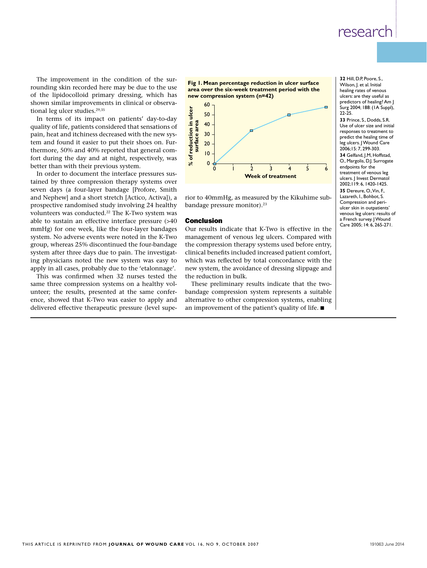The improvement in the condition of the sur-<br>rounding skin recorded here may be due to the use rounding skin recorded here may be due to the use of the lipidocolloid primary dressing, which has shown similar improvements in clinical or observational leg ulcer studies.<sup>29,35</sup>

In terms of its impact on patients' day-to-day quality of life, patients considered that sensations of pain, heat and itchiness decreased with the new system and found it easier to put their shoes on. Furthermore, 50% and 40% reported that general comthermore, 50% and 40% reported that general com-<br>
fort during the day and at night, respectively, was  $\begin{array}{c|c} 8 & 0 \\ \hline \end{array}$ better than with their previous system.

> In order to document the interface pressures susseven days (a four-layer bandage [Profore, Smith seven days (a four-layer bandage [Profore, Smith<br>and Nephew] and a short stretch [Actico, Activa]), a rior to 40mmHg<br>according to the distribution of the short processes prospective randomised study involving 24 healthy volunteers was conducted.22 The K-Two system was able to sustain an effective interface pressure (>40 mmHg) for one week, like the four-layer bandages system. No adverse events were noted in the K-Two group, whereas 25% discontinued the four-bandage system after three days due to pain. The investigating physicians noted the new system was easy to apply in all cases, probably due to the 'etalonnage'.

This was confirmed when 32 nurses tested the same three compression systems on a healthy vol-<br>These prelimina unteer; the results, presented at the same confer- bandage compressio ence, showed that K-Two was easier to apply and alternatively delivered effective therapeutic pressure (level supe- an imp

**M. alves**, md, angiologist, autun, france

**fig 1. Mean percentage reduction in ulcer surface area over the six-week treatment period with the**  The sur-<br>  $\frac{1}{2}$  of the sur-<br>  $\frac{1}{2}$  of the use<br>  $\frac{1}{2}$  of the use<br>  $\frac{1}{2}$   $\frac{1}{2}$   $\frac{1}{2}$   $\frac{1}{2}$   $\frac{1}{2}$   $\frac{1}{2}$   $\frac{1}{2}$   $\frac{1}{2}$   $\frac{1}{2}$   $\frac{1}{2}$   $\frac{1}{2}$   $\frac{1}{2}$   $\frac{1}{2}$   $\frac{1}{2}$   $\frac{$ 



rior to 40mmHg, as measured by the Kikuhime subbandage pressure monitor).<sup>23</sup>

#### Conclusion

Our results indicate that K-Two is effective in the management of venous leg ulcers. Compared with the compression therapy systems used before entry, clinical benefits included increased patient comfort, which was reflected by total concordance with the new system, the avoidance of dressing slippage and the reduction in bulk.

These preliminary results indicate that the twobandage compression system represents a suitable alternative to other compression systems, enabling an improvement of the patient's quality of life.  $\blacksquare$ 

**32** hill, d.p, poore, s., Wilson, J. et al. Initial healing rates of venous ulcers: are they useful as predictors of healing? Am J surg 2004; 188: (1a suppl), 22-25.

**33 Prince, S. Dodds, S.R.** Use of ulcer size and initial responses to treatment to predict the healing time of leg ulcers. J Wound Care 2006;15: 7, 299-303. **34** Gelfand, J.m, hoffstad, O., Margolis, D.J. Surrogate

endpoints for the treatment of venous leg ulcers. I Invest Dermatol 2002;119: 6, 1420-1425. **35** Dereure, O., Vin, F., lazareth, I., Bohbot, S. compression and periulcer skin in outpatients' venous leg ulcers: results of a French survey. | Wound care 2005; 14: 6, 265-271.